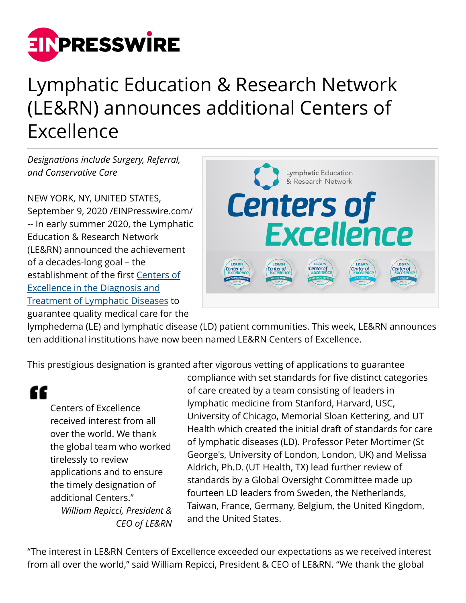

## Lymphatic Education & Research Network (LE&RN) announces additional Centers of Excellence

*Designations include Surgery, Referral, and Conservative Care*

NEW YORK, NY, UNITED STATES, September 9, 2020 /[EINPresswire.com/](http://www.einpresswire.com) -- In early summer 2020, the Lymphatic Education & Research Network (LE&RN) announced the achievement of a decades-long goal – the establishment of the first [Centers of](https://lymphaticnetwork.org/centers-of-excellence) [Excellence in the Diagnosis and](https://lymphaticnetwork.org/centers-of-excellence) [Treatment of Lymphatic Diseases](https://lymphaticnetwork.org/centers-of-excellence) to guarantee quality medical care for the



lymphedema (LE) and lymphatic disease (LD) patient communities. This week, LE&RN announces ten additional institutions have now been named LE&RN Centers of Excellence.

This prestigious designation is granted after vigorous vetting of applications to guarantee

"

Centers of Excellence received interest from all over the world. We thank the global team who worked tirelessly to review applications and to ensure the timely designation of additional Centers." *William Repicci, President & CEO of LE&RN*

compliance with set standards for five distinct categories of care created by a team consisting of leaders in lymphatic medicine from Stanford, Harvard, USC, University of Chicago, Memorial Sloan Kettering, and UT Health which created the initial draft of standards for care of lymphatic diseases (LD). Professor Peter Mortimer (St George's, University of London, London, UK) and Melissa Aldrich, Ph.D. (UT Health, TX) lead further review of standards by a Global Oversight Committee made up fourteen LD leaders from Sweden, the Netherlands, Taiwan, France, Germany, Belgium, the United Kingdom, and the United States.

"The interest in LE&RN Centers of Excellence exceeded our expectations as we received interest from all over the world," said William Repicci, President & CEO of LE&RN. "We thank the global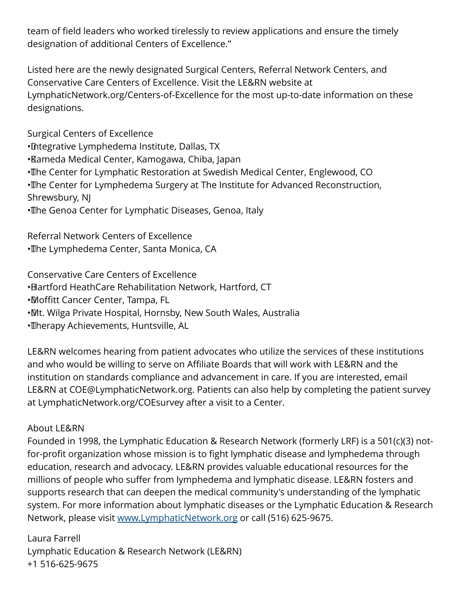team of field leaders who worked tirelessly to review applications and ensure the timely designation of additional Centers of Excellence."

Listed here are the newly designated Surgical Centers, Referral Network Centers, and Conservative Care Centers of Excellence. Visit the LE&RN website at LymphaticNetwork.org/Centers-of-Excellence for the most up-to-date information on these designations.

Surgical Centers of Excellence • Integrative Lymphedema Institute, Dallas, TX • Kameda Medical Center, Kamogawa, Chiba, Japan • The Center for Lymphatic Restoration at Swedish Medical Center, Englewood, CO • The Center for Lymphedema Surgery at The Institute for Advanced Reconstruction, Shrewsbury, NJ • The Genoa Center for Lymphatic Diseases, Genoa, Italy

Referral Network Centers of Excellence • The Lymphedema Center, Santa Monica, CA

Conservative Care Centers of Excellence

• Hartford HeathCare Rehabilitation Network, Hartford, CT

• Moffitt Cancer Center, Tampa, FL

• Mt. Wilga Private Hospital, Hornsby, New South Wales, Australia

· Therapy Achievements, Huntsville, AL

LE&RN welcomes hearing from patient advocates who utilize the services of these institutions and who would be willing to serve on Affiliate Boards that will work with LE&RN and the institution on standards compliance and advancement in care. If you are interested, email LE&RN at COE@LymphaticNetwork.org. Patients can also help by completing the patient survey at LymphaticNetwork.org/COEsurvey after a visit to a Center.

## About LE&RN

Founded in 1998, the Lymphatic Education & Research Network (formerly LRF) is a 501(c)(3) notfor-profit organization whose mission is to fight lymphatic disease and lymphedema through education, research and advocacy. LE&RN provides valuable educational resources for the millions of people who suffer from lymphedema and lymphatic disease. LE&RN fosters and supports research that can deepen the medical community's understanding of the lymphatic system. For more information about lymphatic diseases or the Lymphatic Education & Research Network, please visit [www.LymphaticNetwork.org](http://www.LymphaticNetwork.org) or call (516) 625-9675.

Laura Farrell Lymphatic Education & Research Network (LE&RN) +1 516-625-9675